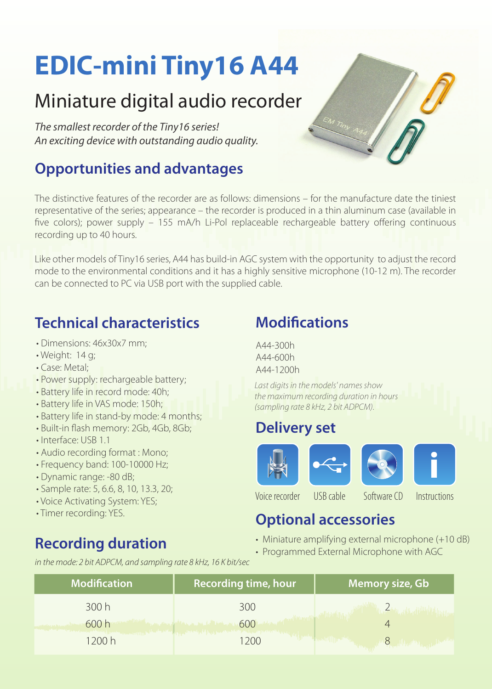# **EDIC-mini Tiny16 A44**

# Miniature digital audio recorder

*The smallest recorder of the Tiny16 series! An exciting device with outstanding audio quality.* 

## **Opportunities and advantages**

The distinctive features of the recorder are as follows: dimensions – for the manufacture date the tiniest representative of the series; appearance – the recorder is produced in a thin aluminum case (available in five colors); power supply – 155 mA/h Li-Pol replaceable rechargeable battery offering continuous recording up to 40 hours.

Like other models of Tiny16 series, A44 has build-in AGC system with the opportunity to adjust the record mode to the environmental conditions and it has a highly sensitive microphone (10-12 m). The recorder can be connected to PC via USB port with the supplied cable.

### **Technical characteristics**

- Dimensions: 46x30x7 mm;
- Weight: 14 g;
- Case: Metal;
- Power supply: rechargeable battery;
- Battery life in record mode: 40h;
- Battery life in VAS mode: 150h;
- Battery life in stand-by mode: 4 months;
- Built-in flash memory: 2Gb, 4Gb, 8Gb;
- Interface: USB 1.1
- Audio recording format : Mono;
- Frequency band: 100-10000 Hz;
- Dynamic range: -80 dB;
- Sample rate: 5, 6.6, 8, 10, 13.3, 20;
- Voice Activating System: YES;
- Timer recording: YES.

# **Recording duration**

### **Modifications**

A44-300h A44-600h A44-1200h

*Last digits in the models' names show the maximum recording duration in hours (sampling rate 8 kHz, 2 bit ADPCM).*

#### **Delivery set**









Voice recorder USB cable Software CD Instructions

#### **Optional accessories**

- Miniature amplifying external microphone (+10 dB)
- Programmed External Microphone with AGC

*in the mode: 2 bit ADPCM, and sampling rate 8 kHz, 16 K bit/sec*

| <b>Modification</b> | <b>Recording time, hour</b> | Memory size, Gb, |
|---------------------|-----------------------------|------------------|
| 300 h               | 300                         |                  |
| 600 h               | 600                         |                  |
| 200h                | 20C                         |                  |